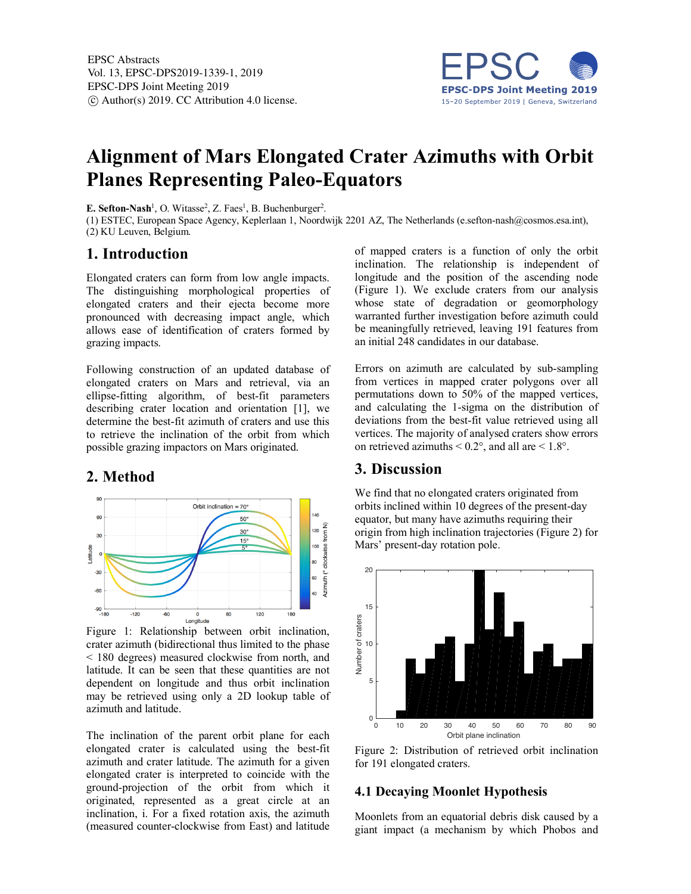

# **Alignment of Mars Elongated Crater Azimuths with Orbit Planes Representing Paleo-Equators**

**E. Sefton-Nash<sup>1</sup>**, O. Witasse<sup>2</sup>, Z. Faes<sup>1</sup>, B. Buchenburger<sup>2</sup>.

(1) ESTEC, European Space Agency, Keplerlaan 1, Noordwijk 2201 AZ, The Netherlands (e.sefton-nash@cosmos.esa.int), (2) KU Leuven, Belgium.

# **1. Introduction**

Elongated craters can form from low angle impacts. The distinguishing morphological properties of elongated craters and their ejecta become more pronounced with decreasing impact angle, which allows ease of identification of craters formed by grazing impacts.

Following construction of an updated database of elongated craters on Mars and retrieval, via an ellipse-fitting algorithm, of best-fit parameters describing crater location and orientation [1], we determine the best-fit azimuth of craters and use this to retrieve the inclination of the orbit from which possible grazing impactors on Mars originated.

# **2. Method**



Figure 1: Relationship between orbit inclination, crater azimuth (bidirectional thus limited to the phase < 180 degrees) measured clockwise from north, and latitude. It can be seen that these quantities are not dependent on longitude and thus orbit inclination may be retrieved using only a 2D lookup table of azimuth and latitude.

The inclination of the parent orbit plane for each elongated crater is calculated using the best-fit azimuth and crater latitude. The azimuth for a given elongated crater is interpreted to coincide with the ground-projection of the orbit from which it originated, represented as a great circle at an inclination, i. For a fixed rotation axis, the azimuth (measured counter-clockwise from East) and latitude of mapped craters is a function of only the orbit inclination. The relationship is independent of longitude and the position of the ascending node (Figure 1). We exclude craters from our analysis whose state of degradation or geomorphology warranted further investigation before azimuth could be meaningfully retrieved, leaving 191 features from an initial 248 candidates in our database.

Errors on azimuth are calculated by sub-sampling from vertices in mapped crater polygons over all permutations down to 50% of the mapped vertices, and calculating the 1-sigma on the distribution of deviations from the best-fit value retrieved using all vertices. The majority of analysed craters show errors on retrieved azimuths  $< 0.2^{\circ}$ , and all are  $< 1.8^{\circ}$ .

# **3. Discussion**

We find that no elongated craters originated from orbits inclined within 10 degrees of the present-day equator, but many have azimuths requiring their origin from high inclination trajectories (Figure 2) for Mars' present-day rotation pole.



Figure 2: Distribution of retrieved orbit inclination for 191 elongated craters.

## **4.1 Decaying Moonlet Hypothesis**

Moonlets from an equatorial debris disk caused by a giant impact (a mechanism by which Phobos and